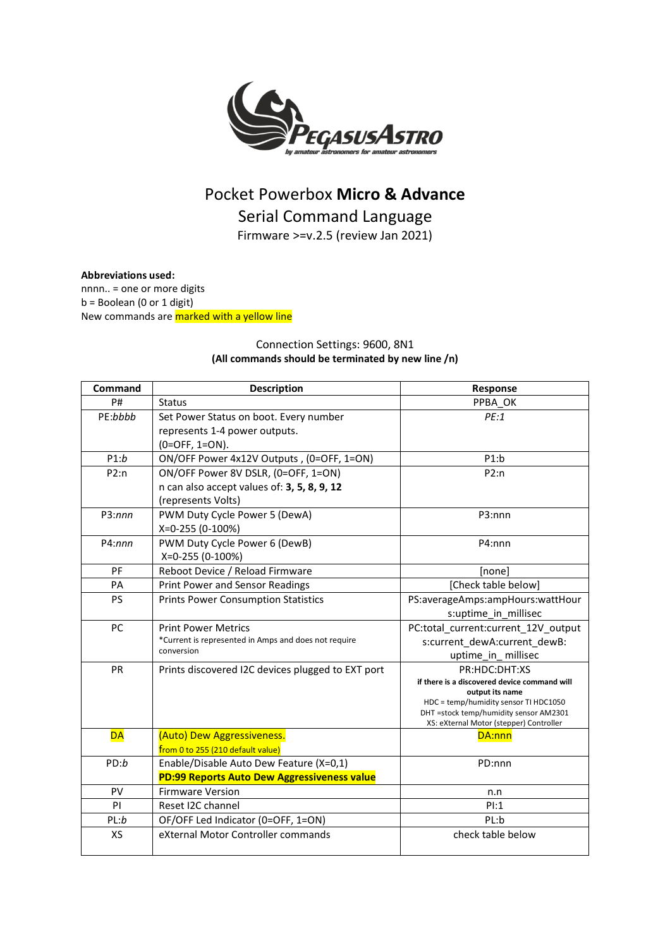

# Pocket Powerbox **Micro & Advance** Serial Command Language

Firmware >=v.2.5 (review Jan 2021)

**Abbreviations used:** nnnn.. = one or more digits  $b =$  Boolean (0 or 1 digit) New commands are **marked with a yellow line** 

### Connection Settings: 9600, 8N1 **(All commands should be terminated by new line /n)**

| Command   | <b>Description</b>                                   | Response                                                 |
|-----------|------------------------------------------------------|----------------------------------------------------------|
| P#        | <b>Status</b>                                        | PPBA OK                                                  |
| PE:bbbb   | Set Power Status on boot. Every number               | PE:1                                                     |
|           | represents 1-4 power outputs.                        |                                                          |
|           | $(0=OFF, 1=ON).$                                     |                                                          |
| P1:b      | ON/OFF Power 4x12V Outputs, (0=OFF, 1=ON)            | P1:b                                                     |
| P2:n      | ON/OFF Power 8V DSLR, (0=OFF, 1=ON)                  | P2:n                                                     |
|           | n can also accept values of: 3, 5, 8, 9, 12          |                                                          |
|           | (represents Volts)                                   |                                                          |
| P3:nnn    | PWM Duty Cycle Power 5 (DewA)                        | P3:nnn                                                   |
|           | X=0-255 (0-100%)                                     |                                                          |
| P4:nnn    | PWM Duty Cycle Power 6 (DewB)                        | P4:nnn                                                   |
|           | X=0-255 (0-100%)                                     |                                                          |
| PF        | Reboot Device / Reload Firmware                      | [none]                                                   |
| PA        | <b>Print Power and Sensor Readings</b>               | [Check table below]                                      |
| <b>PS</b> | <b>Prints Power Consumption Statistics</b>           | PS:averageAmps:ampHours:wattHour                         |
|           |                                                      | s:uptime_in_millisec                                     |
| <b>PC</b> | <b>Print Power Metrics</b>                           | PC:total current:current 12V output                      |
|           | *Current is represented in Amps and does not require | s:current dewA:current dewB:                             |
|           | conversion                                           | uptime in millisec                                       |
| PR        | Prints discovered I2C devices plugged to EXT port    | PR:HDC:DHT:XS                                            |
|           |                                                      | if there is a discovered device command will             |
|           |                                                      | output its name<br>HDC = temp/humidity sensor TI HDC1050 |
|           |                                                      | DHT = stock temp/humidity sensor AM2301                  |
|           |                                                      | XS: eXternal Motor (stepper) Controller                  |
| <b>DA</b> | (Auto) Dew Aggressiveness.                           | DA:nnn                                                   |
|           | from 0 to 255 (210 default value)                    |                                                          |
| PD:b      | Enable/Disable Auto Dew Feature (X=0,1)              | PD:nnn                                                   |
|           | PD:99 Reports Auto Dew Aggressiveness value          |                                                          |
| PV        | <b>Firmware Version</b>                              | n.n                                                      |
| PI        | Reset I2C channel                                    | PI:1                                                     |
| PL:b      | OF/OFF Led Indicator (0=OFF, 1=ON)                   | PL:b                                                     |
| <b>XS</b> | eXternal Motor Controller commands                   | check table below                                        |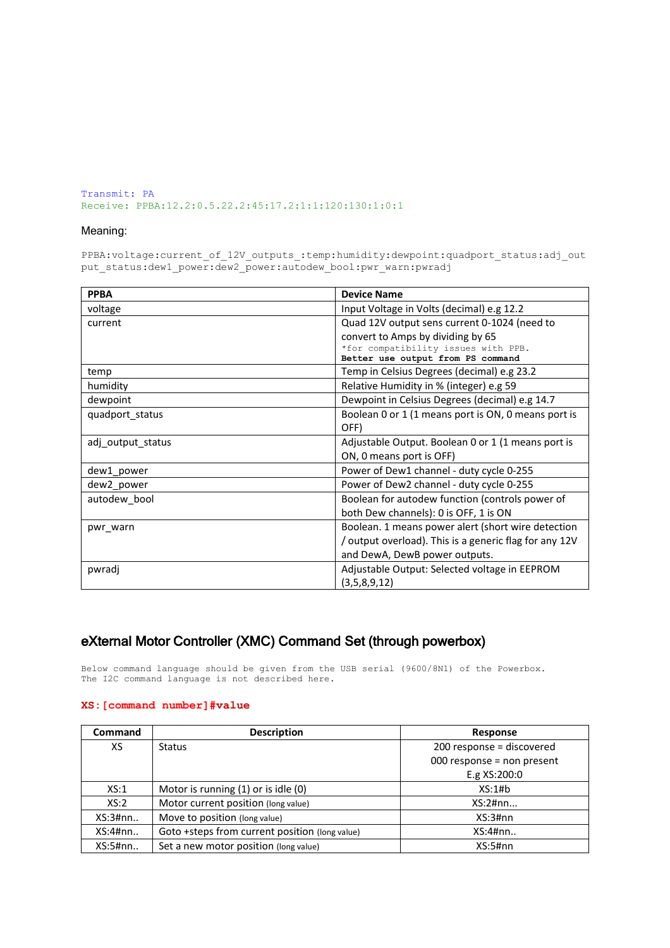Transmit: PA Receive: PPBA:12.2:0.5.22.2:45:17.2:1:1:120:130:1:0:1

#### Meaning:

PPBA:voltage:current\_of\_12V\_outputs\_:temp:humidity:dewpoint:quadport\_status:adj\_out put status:dew1 power:dew2 power:autodew bool:pwr\_warn:pwradj

| <b>PPBA</b>       | <b>Device Name</b>                                     |  |
|-------------------|--------------------------------------------------------|--|
| voltage           | Input Voltage in Volts (decimal) e.g 12.2              |  |
| current           | Quad 12V output sens current 0-1024 (need to           |  |
|                   | convert to Amps by dividing by 65                      |  |
|                   | *for compatibility issues with PPB.                    |  |
|                   | Better use output from PS command                      |  |
| temp              | Temp in Celsius Degrees (decimal) e.g 23.2             |  |
| humidity          | Relative Humidity in % (integer) e.g 59                |  |
| dewpoint          | Dewpoint in Celsius Degrees (decimal) e.g 14.7         |  |
| quadport status   | Boolean 0 or 1 (1 means port is ON, 0 means port is    |  |
|                   | OFF)                                                   |  |
| adj output status | Adjustable Output. Boolean 0 or 1 (1 means port is     |  |
|                   | ON, 0 means port is OFF)                               |  |
| dew1 power        | Power of Dew1 channel - duty cycle 0-255               |  |
| dew2_power        | Power of Dew2 channel - duty cycle 0-255               |  |
| autodew bool      | Boolean for autodew function (controls power of        |  |
|                   | both Dew channels): 0 is OFF, 1 is ON                  |  |
| pwr warn          | Boolean. 1 means power alert (short wire detection     |  |
|                   | / output overload). This is a generic flag for any 12V |  |
|                   | and DewA, DewB power outputs.                          |  |
| pwradj            | Adjustable Output: Selected voltage in EEPROM          |  |
|                   | (3,5,8,9,12)                                           |  |

## eXternal Motor Controller (XMC) Command Set (through powerbox)

Below command language should be given from the USB serial (9600/8N1) of the Powerbox. The I2C command language is not described here.

#### **XS:[command number]#value**

| <b>Command</b> | <b>Description</b>                             | Response                   |
|----------------|------------------------------------------------|----------------------------|
| XS.            | <b>Status</b>                                  | 200 response = discovered  |
|                |                                                | 000 response = non present |
|                |                                                | E.g XS:200:0               |
| XS:1           | Motor is running (1) or is idle (0)            | XS:1#b                     |
| XS:2           | Motor current position (long value)            | $XS:2\#nn$                 |
| XS:3#nn        | Move to position (long value)                  | XS:3#nn                    |
| XS:4#nn.       | Goto +steps from current position (long value) | $XS:4\#nn$                 |
| XS:5#nn        | Set a new motor position (long value)          | XS:5#nn                    |